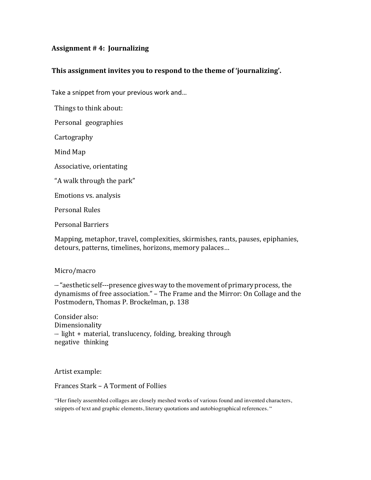## **Assignment # 4: Journalizing**

## This assignment invites you to respond to the theme of 'journalizing'.

Take a snippet from your previous work and...

Things to think about: 

Personal geographies

**Cartography** 

Mind Map 

Associative, orientating

"A walk through the park"

Emotions vs. analysis

Personal Rules

Personal Barriers

Mapping, metaphor, travel, complexities, skirmishes, rants, pauses, epiphanies, detours, patterns, timelines, horizons, memory palaces...

## Micro/macro

--- "aesthetic self---presence gives way to the movement of primary process, the dynamisms of free association." – The Frame and the Mirror: On Collage and the Postmodern, Thomas P. Brockelman, p. 138

Consider also: Dimensionality  $-$  light + material, translucency, folding, breaking through negative thinking

Artist example:

## Frances Stark - A Torment of Follies

"Her finely assembled collages are closely meshed works of various found and invented characters, snippets of text and graphic elements, literary quotations and autobiographical references. "